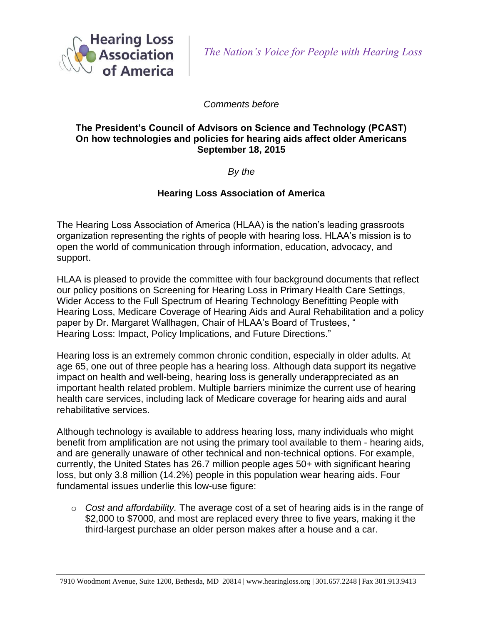

*Comments before*

### **The President's Council of Advisors on Science and Technology (PCAST) On how technologies and policies for hearing aids affect older Americans September 18, 2015**

### *By the*

### **Hearing Loss Association of America**

The Hearing Loss Association of America (HLAA) is the nation's leading grassroots organization representing the rights of people with hearing loss. HLAA's mission is to open the world of communication through information, education, advocacy, and support.

HLAA is pleased to provide the committee with four background documents that reflect our policy positions on Screening for Hearing Loss in Primary Health Care Settings, Wider Access to the Full Spectrum of Hearing Technology Benefitting People with Hearing Loss, Medicare Coverage of Hearing Aids and Aural Rehabilitation and a policy paper by Dr. Margaret Wallhagen, Chair of HLAA's Board of Trustees, " Hearing Loss: Impact, Policy Implications, and Future Directions."

Hearing loss is an extremely common chronic condition, especially in older adults. At age 65, one out of three people has a hearing loss. Although data support its negative impact on health and well-being, hearing loss is generally underappreciated as an important health related problem. Multiple barriers minimize the current use of hearing health care services, including lack of Medicare coverage for hearing aids and aural rehabilitative services.

Although technology is available to address hearing loss, many individuals who might benefit from amplification are not using the primary tool available to them - hearing aids, and are generally unaware of other technical and non-technical options. For example, currently, the United States has 26.7 million people ages 50+ with significant hearing loss, but only 3.8 million (14.2%) people in this population wear hearing aids. Four fundamental issues underlie this low-use figure:

o *Cost and affordability.* The average cost of a set of hearing aids is in the range of \$2,000 to \$7000, and most are replaced every three to five years, making it the third-largest purchase an older person makes after a house and a car.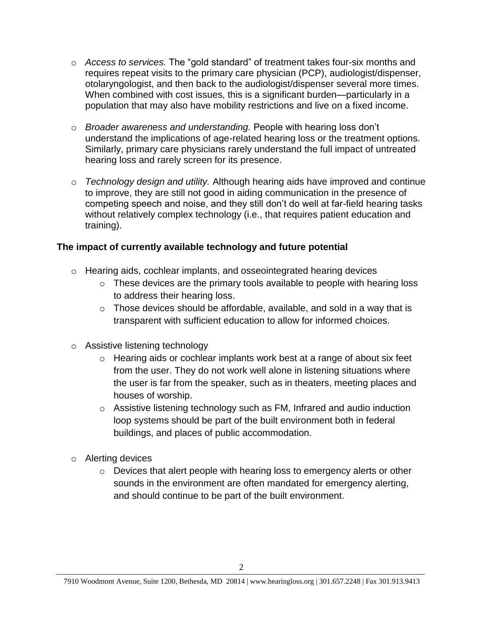- o *Access to services.* The "gold standard" of treatment takes four-six months and requires repeat visits to the primary care physician (PCP), audiologist/dispenser, otolaryngologist, and then back to the audiologist/dispenser several more times. When combined with cost issues, this is a significant burden—particularly in a population that may also have mobility restrictions and live on a fixed income.
- o *Broader awareness and understanding.* People with hearing loss don't understand the implications of age-related hearing loss or the treatment options. Similarly, primary care physicians rarely understand the full impact of untreated hearing loss and rarely screen for its presence.
- o *Technology design and utility.* Although hearing aids have improved and continue to improve, they are still not good in aiding communication in the presence of competing speech and noise, and they still don't do well at far-field hearing tasks without relatively complex technology (i.e., that requires patient education and training).

# **The impact of currently available technology and future potential**

- o Hearing aids, cochlear implants, and osseointegrated hearing devices
	- $\circ$  These devices are the primary tools available to people with hearing loss to address their hearing loss.
	- $\circ$  Those devices should be affordable, available, and sold in a way that is transparent with sufficient education to allow for informed choices.
- o Assistive listening technology
	- o Hearing aids or cochlear implants work best at a range of about six feet from the user. They do not work well alone in listening situations where the user is far from the speaker, such as in theaters, meeting places and houses of worship.
	- o Assistive listening technology such as FM, Infrared and audio induction loop systems should be part of the built environment both in federal buildings, and places of public accommodation.
- o Alerting devices
	- o Devices that alert people with hearing loss to emergency alerts or other sounds in the environment are often mandated for emergency alerting, and should continue to be part of the built environment.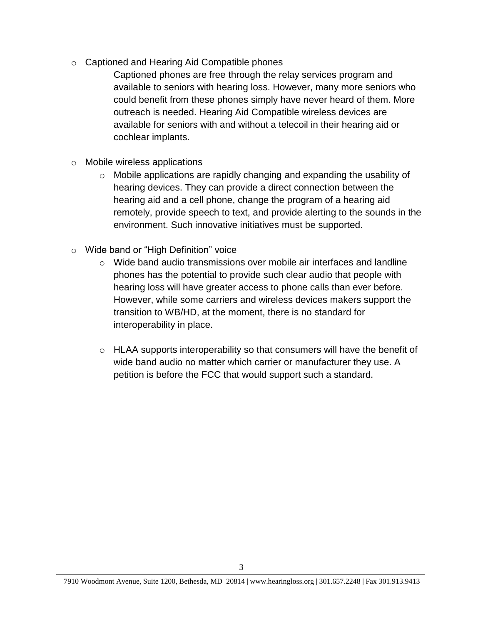o Captioned and Hearing Aid Compatible phones

Captioned phones are free through the relay services program and available to seniors with hearing loss. However, many more seniors who could benefit from these phones simply have never heard of them. More outreach is needed. Hearing Aid Compatible wireless devices are available for seniors with and without a telecoil in their hearing aid or cochlear implants.

- o Mobile wireless applications
	- $\circ$  Mobile applications are rapidly changing and expanding the usability of hearing devices. They can provide a direct connection between the hearing aid and a cell phone, change the program of a hearing aid remotely, provide speech to text, and provide alerting to the sounds in the environment. Such innovative initiatives must be supported.
- o Wide band or "High Definition" voice
	- $\circ$  Wide band audio transmissions over mobile air interfaces and landline phones has the potential to provide such clear audio that people with hearing loss will have greater access to phone calls than ever before. However, while some carriers and wireless devices makers support the transition to WB/HD, at the moment, there is no standard for interoperability in place.
	- o HLAA supports interoperability so that consumers will have the benefit of wide band audio no matter which carrier or manufacturer they use. A petition is before the FCC that would support such a standard.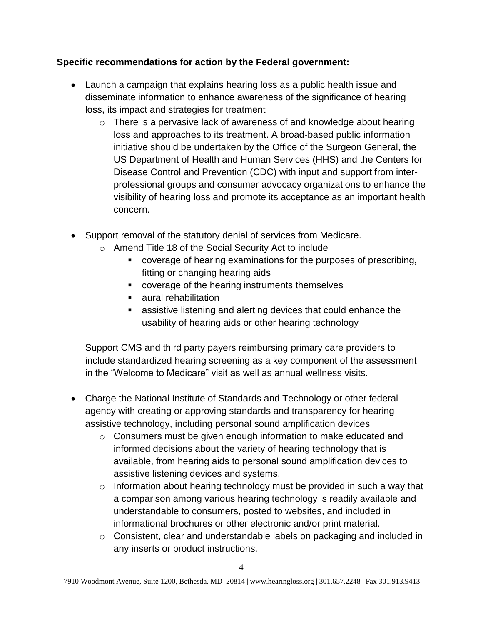# **Specific recommendations for action by the Federal government:**

- Launch a campaign that explains hearing loss as a public health issue and disseminate information to enhance awareness of the significance of hearing loss, its impact and strategies for treatment
	- o There is a pervasive lack of awareness of and knowledge about hearing loss and approaches to its treatment. A broad-based public information initiative should be undertaken by the Office of the Surgeon General, the US Department of Health and Human Services (HHS) and the Centers for Disease Control and Prevention (CDC) with input and support from interprofessional groups and consumer advocacy organizations to enhance the visibility of hearing loss and promote its acceptance as an important health concern.
- Support removal of the statutory denial of services from Medicare.
	- o Amend Title 18 of the Social Security Act to include
		- coverage of hearing examinations for the purposes of prescribing, fitting or changing hearing aids
		- coverage of the hearing instruments themselves
		- aural rehabilitation
		- assistive listening and alerting devices that could enhance the usability of hearing aids or other hearing technology

Support CMS and third party payers reimbursing primary care providers to include standardized hearing screening as a key component of the assessment in the "Welcome to Medicare" visit as well as annual wellness visits.

- Charge the National Institute of Standards and Technology or other federal agency with creating or approving standards and transparency for hearing assistive technology, including personal sound amplification devices
	- o Consumers must be given enough information to make educated and informed decisions about the variety of hearing technology that is available, from hearing aids to personal sound amplification devices to assistive listening devices and systems.
	- $\circ$  Information about hearing technology must be provided in such a way that a comparison among various hearing technology is readily available and understandable to consumers, posted to websites, and included in informational brochures or other electronic and/or print material.
	- $\circ$  Consistent, clear and understandable labels on packaging and included in any inserts or product instructions.

7910 Woodmont Avenue, Suite 1200, Bethesda, MD 20814 | www.hearingloss.org | 301.657.2248 | Fax 301.913.9413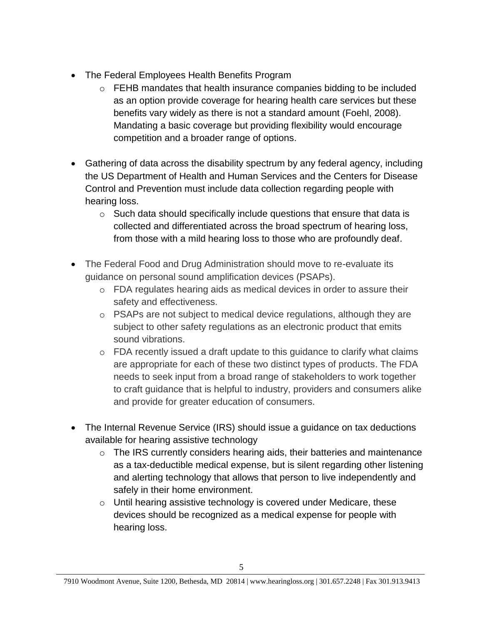- The Federal Employees Health Benefits Program
	- $\circ$  FEHB mandates that health insurance companies bidding to be included as an option provide coverage for hearing health care services but these benefits vary widely as there is not a standard amount (Foehl, 2008). Mandating a basic coverage but providing flexibility would encourage competition and a broader range of options.
- Gathering of data across the disability spectrum by any federal agency, including the US Department of Health and Human Services and the Centers for Disease Control and Prevention must include data collection regarding people with hearing loss.
	- $\circ$  Such data should specifically include questions that ensure that data is collected and differentiated across the broad spectrum of hearing loss, from those with a mild hearing loss to those who are profoundly deaf.
- The Federal Food and Drug Administration should move to re-evaluate its guidance on personal sound amplification devices (PSAPs).
	- o FDA regulates hearing aids as medical devices in order to assure their safety and effectiveness.
	- o PSAPs are not subject to medical device regulations, although they are subject to other safety regulations as an electronic product that emits sound vibrations.
	- $\circ$  FDA recently issued a draft update to this quidance to clarify what claims are appropriate for each of these two distinct types of products. The FDA needs to seek input from a broad range of stakeholders to work together to craft guidance that is helpful to industry, providers and consumers alike and provide for greater education of consumers.
- The Internal Revenue Service (IRS) should issue a guidance on tax deductions available for hearing assistive technology
	- $\circ$  The IRS currently considers hearing aids, their batteries and maintenance as a tax-deductible medical expense, but is silent regarding other listening and alerting technology that allows that person to live independently and safely in their home environment.
	- o Until hearing assistive technology is covered under Medicare, these devices should be recognized as a medical expense for people with hearing loss.

7910 Woodmont Avenue, Suite 1200, Bethesda, MD 20814 | www.hearingloss.org | 301.657.2248 | Fax 301.913.9413